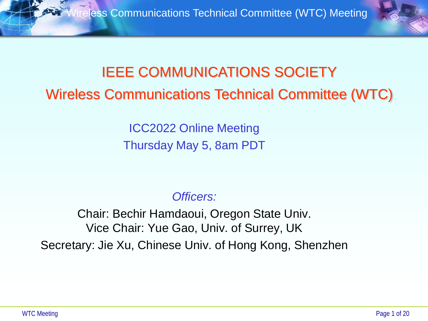

# IEEE COMMUNICATIONS SOCIETY Wireless Communications Technical Committee (WTC)

ICC2022 Online Meeting Thursday May 5, 8am PDT

#### *Officers:*

Chair: Bechir Hamdaoui, Oregon State Univ. Vice Chair: Yue Gao, Univ. of Surrey, UK Secretary: Jie Xu, Chinese Univ. of Hong Kong, Shenzhen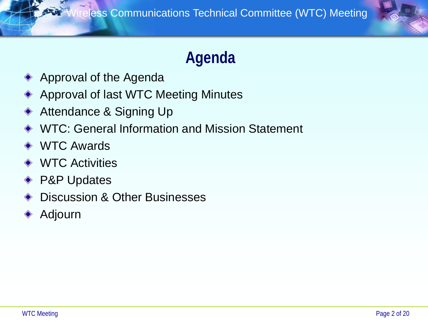

# **Agenda**

- Approval of the Agenda
- Approval of last WTC Meeting Minutes
- Attendance & Signing Up
- ◆ WTC: General Information and Mission Statement
- **◆ WTC Awards**
- **◆ WTC Activities**
- ◆ P&P Updates
- Discussion & Other Businesses
- Adjourn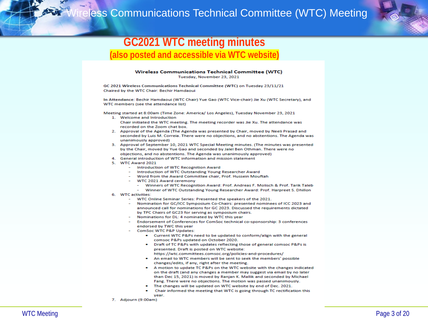

#### **GC2021 WTC meeting minutes (also posted and accessible via WTC website)**

#### Wireless Communications Technical Committee (WTC)

Tuesday, November 23, 2021

GC 2021 Wireless Communications Technical Committee (WTC) on Tuesday 23/11/21 Chaired by the WTC Chair: Bechir Hamdaoui

In Attendance: Bechir Hamdaoui (WTC Chair) Yue Gao (WTC Vice-chair) Jie Xu (WTC Secretary), and WTC members (see the attendance list)

Meeting started at 8:00am (Time Zone: America/ Los Angeles), Tuesday November 23, 2021

- 1. Welcome and Introduction Chair initiated the WTC meeting. The meeting recorder was Jie Xu. The attendance was recorded on the Zoom chat box.
- 2. Approval of the Agenda (The Agenda was presented by Chair, moved by Neeli Prasad and seconded by Luis M. Correia. There were no objections, and no abstentions. The Agenda was unanimously approved)
- 3. Approval of September 10, 2021 WTC Special Meeting minutes. (The minutes was presented by the Chair, moved by Yue Gao and seconded by Jalel Ben Othman. There were no objections, and no abstentions. The Agenda was unanimously approved)
- 4. General introduction of WTC information and mission statement
- 5. WTC Award 2021
	- Introduction of WTC Recognition Award
	- Introduction of WTC Outstanding Young Researcher Award
	- Word from the Award Committee chair, Prof. Hussein Mouftah
	- WTC 2021 Award ceremony
		- Winners of WTC Recognition Award: Prof. Andreas F. Molisch & Prof. Tarik Taleb
		- Winner of WTC Outstanding Young Researcher Award: Prof. Harpreet S. Dhillon
- 6. WTC activities:
	- WTC Online Seminar Series: Presented the speakers of the 2021.
	- Nomination for GC/ICC Symposium Co-Chairs: presented nominees of ICC 2023 and announced call for nominations for GC 2023. Discussed the requirements dictated by TPC Chairs of GC23 for serving as symposium chairs.
	- Nominations for DL: 4 nominated by WTC this year
	- Endorsement of Conferences for ComSoc technical co-sponsorship: 3 conferences endorsed by TWC this year
	- **ComSoc WTC P&P Updates:** 
		- Current WTC P&Ps need to be updated to conform/align with the general comsoc P&Ps updated on October 2020.
		- Draft of TC P&Ps with updates reflecting those of general comsoc P&Ps is presented. Draft is posted on WTC website:
		- https://wtc.committees.comsoc.org/policies-and-procedures/
		- An email to WTC members will be sent to seek the members' possible changes/edits, if any, right after the meeting.
		- A motion to update TC P&Ps on the WTC website with the changes indicated on the draft (and any changes a member may suggest via email by no later than Dec 15, 2021) is moved by Ranjan K. Mallik and seconded by Michael Fang. There were no objections. The motion was passed unanimously.
		- The changes will be updated on WTC website by end of Dec. 2021.
		- Chair informed the meeting that WTC is going through TC rectification this vear.
- 7. Adjourn (9:00am)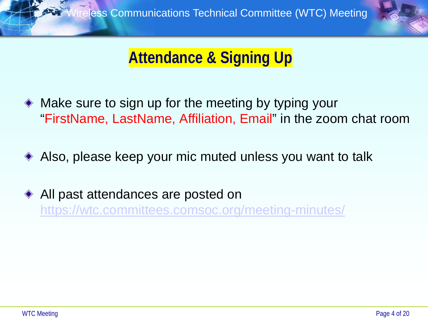

# **Attendance & Signing Up**

- Make sure to sign up for the meeting by typing your "FirstName, LastName, Affiliation, Email" in the zoom chat room
- Also, please keep your mic muted unless you want to talk
- **◆ All past attendances are posted on** <https://wtc.committees.comsoc.org/meeting-minutes/>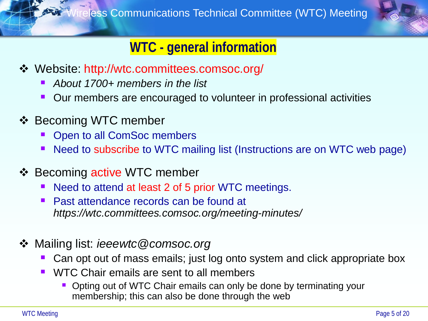

## **WTC - general information**

- Website: http://wtc.committees.comsoc.org/
	- *About 1700+ members in the list*
	- Our members are encouraged to volunteer in professional activities
- ❖ Becoming WTC member
	- Open to all ComSoc members
	- Need to subscribe to WTC mailing list (Instructions are on WTC web page)
- ❖ Becoming active WTC member
	- Need to attend at least 2 of 5 prior WTC meetings.
	- Past attendance records can be found at *https://wtc.committees.comsoc.org/meeting-minutes/*
- Mailing list: *ieeewtc@comsoc.org*
	- Can opt out of mass emails; just log onto system and click appropriate box
	- WTC Chair emails are sent to all members
		- Opting out of WTC Chair emails can only be done by terminating your membership; this can also be done through the web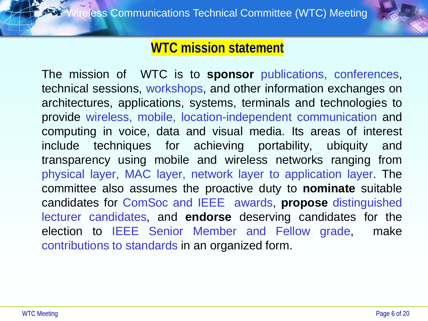

### **WTC mission statement**

The mission of WTC is to **sponsor** publications, conferences, technical sessions, workshops, and other information exchanges on architectures, applications, systems, terminals and technologies to provide wireless, mobile, location-independent communication and computing in voice, data and visual media. Its areas of interest include techniques for achieving portability, ubiquity and transparency using mobile and wireless networks ranging from physical layer, MAC layer, network layer to application layer. The committee also assumes the proactive duty to **nominate** suitable candidates for ComSoc and IEEE awards, **propose** distinguished lecturer candidates, and **endorse** deserving candidates for the election to IEEE Senior Member and Fellow grade, make contributions to standards in an organized form.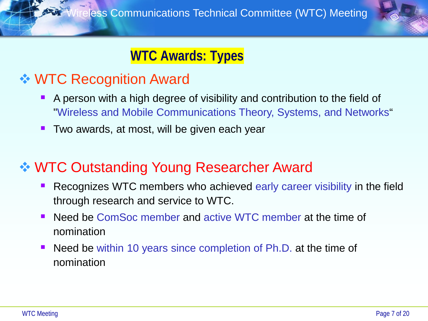

### **WTC Awards: Types**

# **❖ WTC Recognition Award**

- A person with a high degree of visibility and contribution to the field of "Wireless and Mobile Communications Theory, Systems, and Networks"
- $\blacksquare$  Two awards, at most, will be given each year

# **❖ WTC Outstanding Young Researcher Award**

- Recognizes WTC members who achieved early career visibility in the field through research and service to WTC.
- Need be ComSoc member and active WTC member at the time of nomination
- Need be within 10 years since completion of Ph.D. at the time of nomination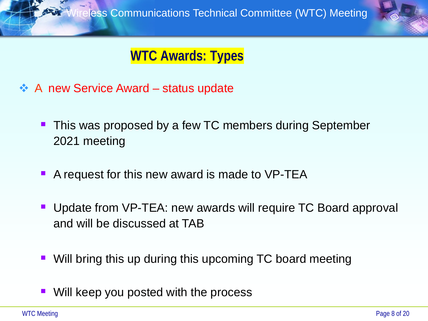

## **WTC Awards: Types**

- ❖ A new Service Award status update
	- **This was proposed by a few TC members during September** 2021 meeting
	- A request for this new award is made to VP-TEA
	- Update from VP-TEA: new awards will require TC Board approval and will be discussed at TAB
	- Will bring this up during this upcoming TC board meeting
	- Will keep you posted with the process

WTC Meeting Page 8 of 20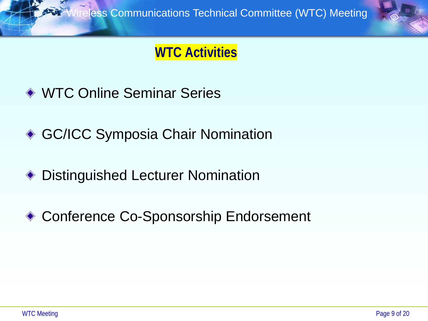### **WTC Activities**

- ◆ WTC Online Seminar Series
- ◆ GC/ICC Symposia Chair Nomination
- Distinguished Lecturer Nomination ◈
- ◆ Conference Co-Sponsorship Endorsement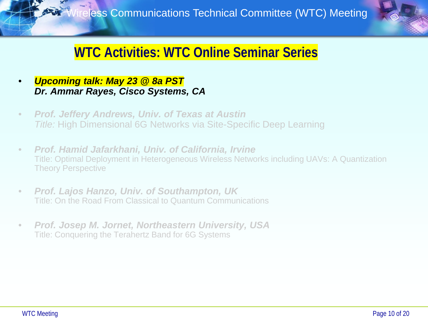

### **WTC Activities: WTC Online Seminar Series**

- *Upcoming talk: May 23 @ 8a PST Dr. Ammar Rayes, Cisco Systems, CA*
- *Prof. Jeffery Andrews, Univ. of Texas at Austin Title:* High Dimensional 6G Networks via Site-Specific Deep Learning
- *Prof. Hamid Jafarkhani, Univ. of California, Irvine* Title: Optimal Deployment in Heterogeneous Wireless Networks including UAVs: A Quantization Theory Perspective
- *Prof. Lajos Hanzo, Univ. of Southampton, UK* Title: On the Road From Classical to Quantum Communications
- *Prof. Josep M. Jornet, Northeastern University, USA* Title: Conquering the Terahertz Band for 6G Systems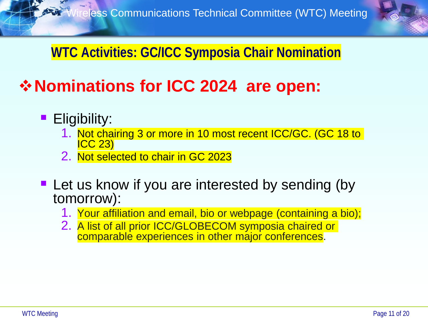

# **WTC Activities: GC/ICC Symposia Chair Nomination**

# **Nominations for ICC 2024 are open:**

- **Eligibility:** 
	- 1. Not chairing 3 or more in 10 most recent ICC/GC. (GC 18 to ICC 23)
	- 2. Not selected to chair in GC 2023
- **Let us know if you are interested by sending (by** tomorrow):
	- 1. Your affiliation and email, bio or webpage (containing a bio);
	- 2. A list of all prior ICC/GLOBECOM symposia chaired or comparable experiences in other major conferences.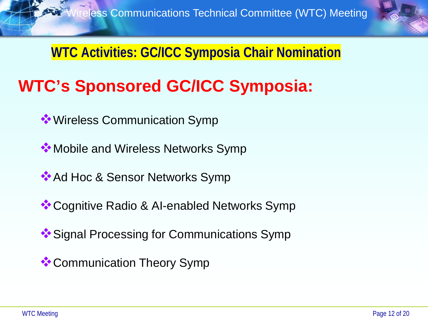

**WTC Activities: GC/ICC Symposia Chair Nomination**

# **WTC's Sponsored GC/ICC Symposia:**

- **<sup>◆</sup>** Wireless Communication Symp
- **<sup>◆</sup>Mobile and Wireless Networks Symp**
- Ad Hoc & Sensor Networks Symp
- **\*\*** Cognitive Radio & AI-enabled Networks Symp
- **<sup>◆</sup>Signal Processing for Communications Symp**
- **<sup>◆</sup>Communication Theory Symp**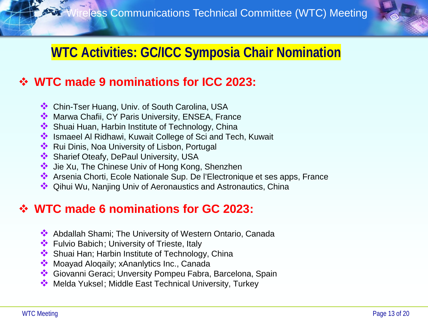

# **WTC Activities: GC/ICC Symposia Chair Nomination**

#### **WTC made 9 nominations for ICC 2023:**

- Chin-Tser Huang, Univ. of South Carolina, USA
- **W** Marwa Chafii, CY Paris University, ENSEA, France
- ◆ Shuai Huan, Harbin Institute of Technology, China
- Ismaeel Al Ridhawi, Kuwait College of Sci and Tech, Kuwait
- **EXA:** Rui Dinis, Noa University of Lisbon, Portugal
- Sharief Oteafy, DePaul University, USA
- ◆ Jie Xu, The Chinese Univ of Hong Kong, Shenzhen
- Arsenia Chorti, Ecole Nationale Sup. De l'Electronique et ses apps, France
- ◆ Qihui Wu, Nanjing Univ of Aeronaustics and Astronautics, China

#### **WTC made 6 nominations for GC 2023:**

- Abdallah Shami; The University of Western Ontario, Canada
- **E**ulvio Babich; University of Trieste, Italy
- ◆ Shuai Han; Harbin Institute of Technology, China
- **Moayad Alogaily; xAnanlytics Inc., Canada**
- Giovanni Geraci; Unversity Pompeu Fabra, Barcelona, Spain
- ◆ Melda Yuksel; Middle East Technical University, Turkey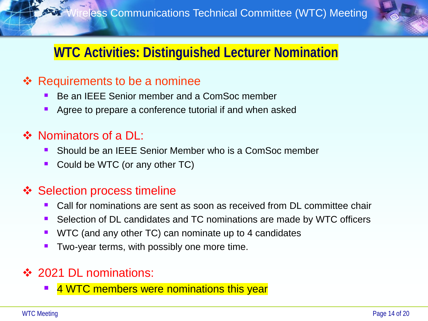

# **WTC Activities: Distinguished Lecturer Nomination**

#### **❖** Requirements to be a nominee

- Be an IEEE Senior member and a ComSoc member
- Agree to prepare a conference tutorial if and when asked

#### ❖ Nominators of a DL:

- Should be an IEEE Senior Member who is a ComSoc member
- Could be WTC (or any other TC)

#### **❖ Selection process timeline**

- Call for nominations are sent as soon as received from DL committee chair
- Selection of DL candidates and TC nominations are made by WTC officers
- WTC (and any other TC) can nominate up to 4 candidates
- Two-year terms, with possibly one more time.

#### ❖ 2021 DL nominations:

**4 WTC members were nominations this year**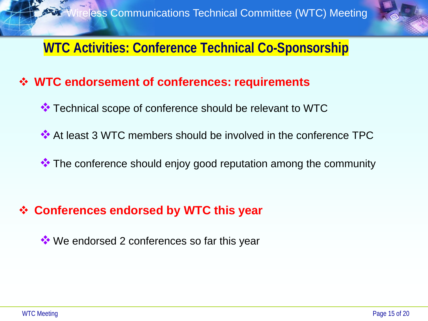

### **WTC Activities: Conference Technical Co-Sponsorship**

#### **WTC endorsement of conferences: requirements**

- **\*\*** Technical scope of conference should be relevant to WTC
- At least 3 WTC members should be involved in the conference TPC
- \*\* The conference should enjoy good reputation among the community

#### **Conferences endorsed by WTC this year**

**We endorsed 2 conferences so far this year**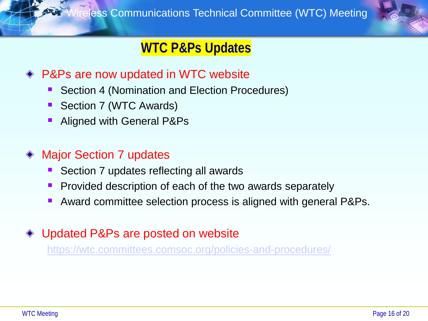

# **WTC P&Ps Updates**

#### ◆ P&Ps are now updated in WTC website

- Section 4 (Nomination and Election Procedures)
- Section 7 (WTC Awards)
- Aligned with General P&Ps

#### Major Section 7 updates

- Section 7 updates reflecting all awards
- Provided description of each of the two awards separately
- Award committee selection process is aligned with general P&Ps.

#### Updated P&Ps are posted on website

<https://wtc.committees.comsoc.org/policies-and-procedures/>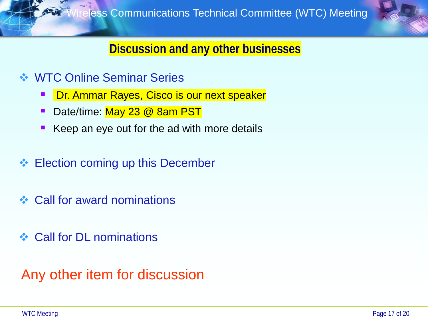

#### **Discussion and any other businesses**

- **❖ WTC Online Seminar Series** 
	- Dr. Ammar Rayes, Cisco is our next speaker
	- Date/time: May 23 @ 8am PST
	- Keep an eye out for the ad with more details
- ❖ Election coming up this December
- **❖ Call for award nominations**
- **❖ Call for DL nominations**

Any other item for discussion